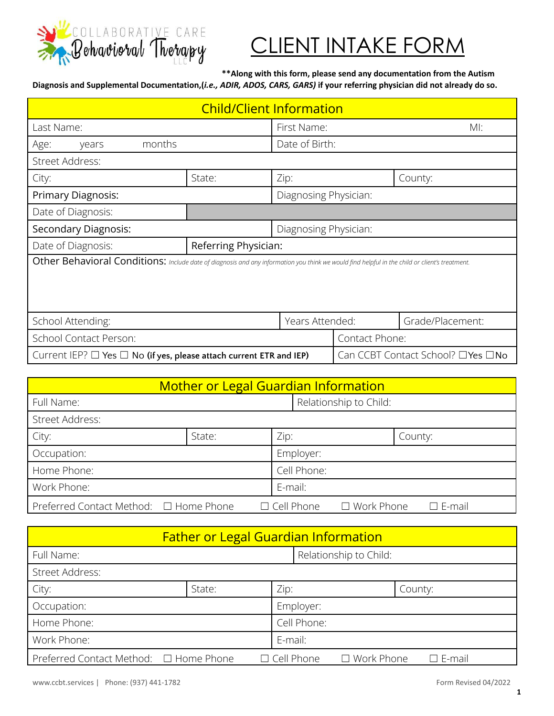

## LIENT INTAKE FORM

**\*\*Along with this form, please send any documentation from the Autism**

**Diagnosis and Supplemental Documentation,(***i.e., ADIR, ADOS, CARS, GARS)* **if your referring physician did not already do so.**

|                                                                                                                                                | <b>Child/Client Information</b>          |                       |  |         |  |
|------------------------------------------------------------------------------------------------------------------------------------------------|------------------------------------------|-----------------------|--|---------|--|
| Last Name:                                                                                                                                     |                                          | First Name:           |  | MI:     |  |
| months<br>Age:<br>years                                                                                                                        |                                          | Date of Birth:        |  |         |  |
| Street Address:                                                                                                                                |                                          |                       |  |         |  |
| City:                                                                                                                                          | State:                                   | Zip:                  |  | County: |  |
| <b>Primary Diagnosis:</b>                                                                                                                      |                                          | Diagnosing Physician: |  |         |  |
| Date of Diagnosis:                                                                                                                             |                                          |                       |  |         |  |
| Secondary Diagnosis:                                                                                                                           | Diagnosing Physician:                    |                       |  |         |  |
| Date of Diagnosis:                                                                                                                             | Referring Physician:                     |                       |  |         |  |
| Other Behavioral Conditions: Include date of diagnosis and any information you think we would find helpful in the child or client's treatment. |                                          |                       |  |         |  |
| School Attending:                                                                                                                              | Grade/Placement:<br>Years Attended:      |                       |  |         |  |
| School Contact Person:                                                                                                                         | Contact Phone:                           |                       |  |         |  |
| Can CCBT Contact School? □ Yes □ No<br>Current IEP? $\Box$ Yes $\Box$ No (if yes, please attach current ETR and IEP)                           |                                          |                       |  |         |  |
|                                                                                                                                                |                                          |                       |  |         |  |
|                                                                                                                                                | Mathematical cool Consultant Information |                       |  |         |  |

|                                        | <b>Mother or Legal Guardian Information</b> |                   |                                       |
|----------------------------------------|---------------------------------------------|-------------------|---------------------------------------|
| Full Name:                             |                                             |                   | Relationship to Child:                |
| <b>Street Address:</b>                 |                                             |                   |                                       |
| City:                                  | State:                                      | Zip:              | County:                               |
| Occupation:                            |                                             | Employer:         |                                       |
| Home Phone:                            |                                             | Cell Phone:       |                                       |
| Work Phone:                            |                                             | E-mail:           |                                       |
| Preferred Contact Method: □ Home Phone |                                             | $\Box$ Cell Phone | $\Box$ Work Phone<br>$\square$ E-mail |

| <b>Father or Legal Guardian Information</b> |                           |                   |                        |                  |  |  |
|---------------------------------------------|---------------------------|-------------------|------------------------|------------------|--|--|
| Full Name:                                  |                           |                   | Relationship to Child: |                  |  |  |
| Street Address:                             |                           |                   |                        |                  |  |  |
| City:                                       | State:<br>County:<br>Zip: |                   |                        |                  |  |  |
| Occupation:                                 |                           | Employer:         |                        |                  |  |  |
| Home Phone:                                 |                           | Cell Phone:       |                        |                  |  |  |
| Work Phone:<br>E-mail:                      |                           |                   |                        |                  |  |  |
| Preferred Contact Method: □ Home Phone      |                           | $\Box$ Cell Phone | $\Box$ Work Phone      | $\square$ E-mail |  |  |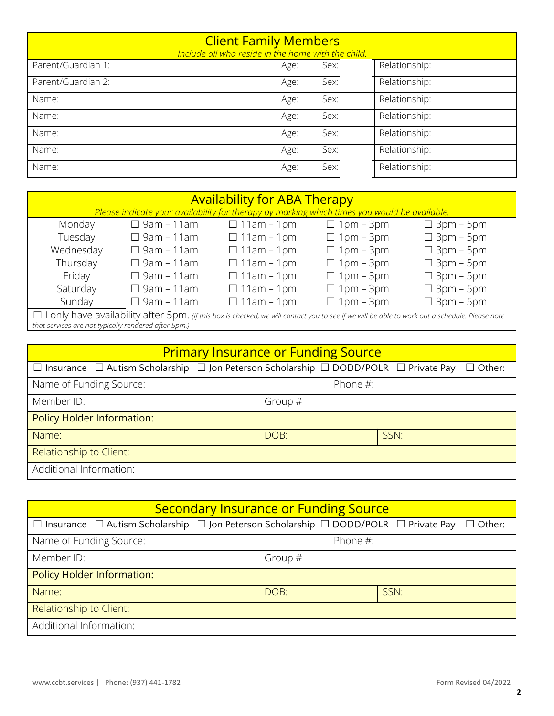| <b>Client Family Members</b><br>Include all who reside in the home with the child. |              |               |
|------------------------------------------------------------------------------------|--------------|---------------|
| Parent/Guardian 1:                                                                 | Age:<br>Sex: | Relationship: |
| Parent/Guardian 2:                                                                 | Sex:<br>Age: | Relationship: |
| Name:                                                                              | Sex:<br>Age: | Relationship: |
| Name:                                                                              | Sex:<br>Age: | Relationship: |
| Name:                                                                              | Sex:<br>Age: | Relationship: |
| Name:                                                                              | Sex:<br>Age: | Relationship: |
| Name:                                                                              | Sex:<br>Age: | Relationship: |

|                                                                                                                                                  |                   | <b>Availability for ABA Therapy</b>                                                          |                  |                  |  |
|--------------------------------------------------------------------------------------------------------------------------------------------------|-------------------|----------------------------------------------------------------------------------------------|------------------|------------------|--|
|                                                                                                                                                  |                   | Please indicate your availability for therapy by marking which times you would be available. |                  |                  |  |
| Monday                                                                                                                                           | $\Box$ 9am – 11am | $\Box$ 11am – 1pm                                                                            | $\Box$ 1pm – 3pm | $\Box$ 3pm – 5pm |  |
| Tuesday                                                                                                                                          | $\Box$ 9am – 11am | $\Box$ 11am – 1pm                                                                            | $\Box$ 1pm – 3pm | $\Box$ 3pm – 5pm |  |
| Wednesday                                                                                                                                        | $\Box$ 9am – 11am | $\Box$ 11am – 1pm                                                                            | $\Box$ 1pm – 3pm | $\Box$ 3pm – 5pm |  |
| Thursday                                                                                                                                         | $\Box$ 9am – 11am | $\Box$ 11am – 1pm                                                                            | $\Box$ 1pm – 3pm | $\Box$ 3pm – 5pm |  |
| Friday                                                                                                                                           | $\Box$ 9am – 11am | $\Box$ 11am – 1pm                                                                            | $\Box$ 1pm – 3pm | $\Box$ 3pm – 5pm |  |
| Saturday                                                                                                                                         | $\Box$ 9am – 11am | $\Box$ 11am - 1pm                                                                            | $\Box$ 1pm – 3pm | $\Box$ 3pm – 5pm |  |
| Sunday                                                                                                                                           | $\Box$ 9am – 11am | $\Box$ 11am - 1pm                                                                            | $\Box$ 1pm – 3pm | $\Box$ 3pm – 5pm |  |
| □ I only have availability after 5pm. (If this box is checked, we will contact you to see if we will be able to work out a schedule. Please note |                   |                                                                                              |                  |                  |  |
| that services are not typically rendered after 5pm.)                                                                                             |                   |                                                                                              |                  |                  |  |

| <b>Primary Insurance or Funding Source</b>                                                                                      |         |          |      |  |  |  |
|---------------------------------------------------------------------------------------------------------------------------------|---------|----------|------|--|--|--|
| $\Box$ Insurance $\Box$ Autism Scholarship $\Box$ Jon Peterson Scholarship $\Box$ DODD/POLR $\Box$ Private Pay<br>$\Box$ Other: |         |          |      |  |  |  |
| Name of Funding Source:                                                                                                         |         | Phone #: |      |  |  |  |
| Member ID:                                                                                                                      | Group # |          |      |  |  |  |
| <b>Policy Holder Information:</b>                                                                                               |         |          |      |  |  |  |
| Name:                                                                                                                           | DOB:    |          | SSN: |  |  |  |
| Relationship to Client:                                                                                                         |         |          |      |  |  |  |
| Additional Information:                                                                                                         |         |          |      |  |  |  |

| <b>Secondary Insurance or Funding Source</b>                                                                                 |         |          |      |  |  |
|------------------------------------------------------------------------------------------------------------------------------|---------|----------|------|--|--|
| $\Box$ Insurance $\Box$ Autism Scholarship $\Box$ Jon Peterson Scholarship $\Box$ DODD/POLR $\Box$ Private Pay $\Box$ Other: |         |          |      |  |  |
| Name of Funding Source:                                                                                                      |         | Phone #: |      |  |  |
| Member ID:                                                                                                                   | Group # |          |      |  |  |
| <b>Policy Holder Information:</b>                                                                                            |         |          |      |  |  |
| Name:                                                                                                                        | DOB:    |          | SSN: |  |  |
| Relationship to Client:                                                                                                      |         |          |      |  |  |
| Additional Information:                                                                                                      |         |          |      |  |  |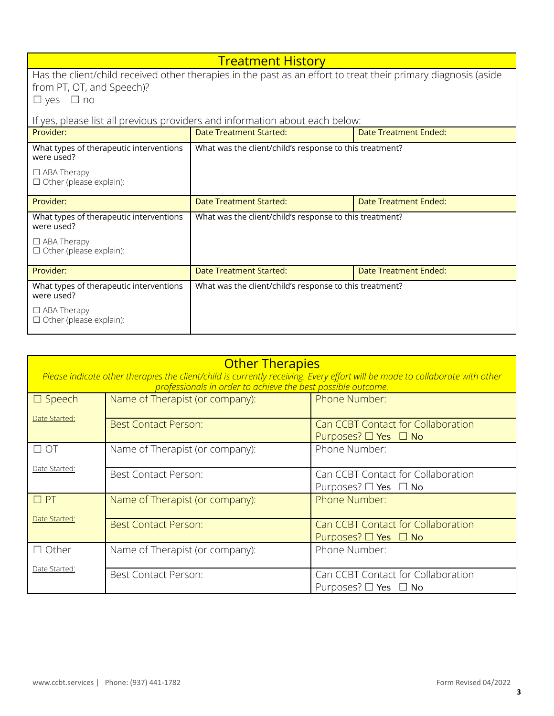| <b>Treatment History</b>                              |                                                                                                                |                              |  |  |
|-------------------------------------------------------|----------------------------------------------------------------------------------------------------------------|------------------------------|--|--|
| from PT, OT, and Speech)?<br>$\Box$ yes $\Box$ no     | Has the client/child received other therapies in the past as an effort to treat their primary diagnosis (aside |                              |  |  |
|                                                       | If yes, please list all previous providers and information about each below:                                   |                              |  |  |
| Provider:                                             | Date Treatment Started:                                                                                        | <b>Date Treatment Ended:</b> |  |  |
| What types of therapeutic interventions<br>were used? | What was the client/child's response to this treatment?                                                        |                              |  |  |
| $\Box$ ABA Therapy<br>$\Box$ Other (please explain):  |                                                                                                                |                              |  |  |
| Provider:                                             | <b>Date Treatment Started:</b>                                                                                 | Date Treatment Ended:        |  |  |
| What types of therapeutic interventions<br>were used? | What was the client/child's response to this treatment?                                                        |                              |  |  |
| $\Box$ ABA Therapy<br>$\Box$ Other (please explain):  |                                                                                                                |                              |  |  |
| Provider:                                             | Date Treatment Started:                                                                                        | Date Treatment Ended:        |  |  |
| What types of therapeutic interventions<br>were used? | What was the client/child's response to this treatment?                                                        |                              |  |  |
| $\Box$ ABA Therapy<br>$\Box$ Other (please explain):  |                                                                                                                |                              |  |  |

| <b>Other Therapies</b><br>Please indicate other therapies the client/child is currently receiving. Every effort will be made to collaborate with other<br>professionals in order to achieve the best possible outcome. |                                 |                                                                      |  |  |  |  |  |
|------------------------------------------------------------------------------------------------------------------------------------------------------------------------------------------------------------------------|---------------------------------|----------------------------------------------------------------------|--|--|--|--|--|
| $\square$ Speech                                                                                                                                                                                                       | Name of Therapist (or company): | Phone Number:                                                        |  |  |  |  |  |
| Date Started:                                                                                                                                                                                                          | <b>Best Contact Person:</b>     | Can CCBT Contact for Collaboration<br>Purposes? $\Box$ Yes $\Box$ No |  |  |  |  |  |
| $\Box$ OT                                                                                                                                                                                                              | Name of Therapist (or company): | Phone Number:                                                        |  |  |  |  |  |
| Date Started:                                                                                                                                                                                                          | Best Contact Person:            | Can CCBT Contact for Collaboration<br>Purposes? $\Box$ Yes $\Box$ No |  |  |  |  |  |
| $\Box$ PT                                                                                                                                                                                                              | Name of Therapist (or company): | Phone Number:                                                        |  |  |  |  |  |
| Date Started:                                                                                                                                                                                                          | <b>Best Contact Person:</b>     | Can CCBT Contact for Collaboration<br>Purposes? $\Box$ Yes $\Box$ No |  |  |  |  |  |
| $\Box$ Other                                                                                                                                                                                                           | Name of Therapist (or company): | Phone Number:                                                        |  |  |  |  |  |
| Date Started:                                                                                                                                                                                                          | Best Contact Person:            | Can CCBT Contact for Collaboration<br>Purposes? $\Box$ Yes $\Box$ No |  |  |  |  |  |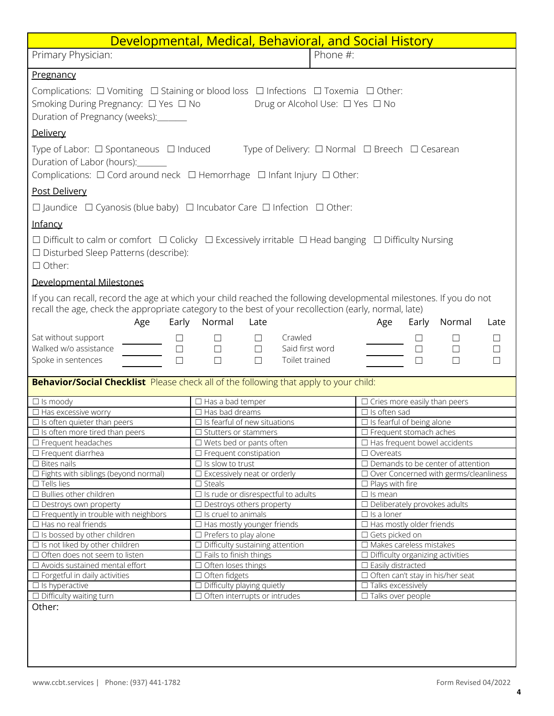|                                                                                       | Developmental, Medical, Behavioral, and Social History                                                                                                                                                                                               |                                                                      |  |  |  |
|---------------------------------------------------------------------------------------|------------------------------------------------------------------------------------------------------------------------------------------------------------------------------------------------------------------------------------------------------|----------------------------------------------------------------------|--|--|--|
| Primary Physician:                                                                    | Phone #:                                                                                                                                                                                                                                             |                                                                      |  |  |  |
| Pregnancy                                                                             |                                                                                                                                                                                                                                                      |                                                                      |  |  |  |
| Smoking During Pregnancy: □ Yes □ No<br>Duration of Pregnancy (weeks): ______         | Complications: $\Box$ Vomiting $\Box$ Staining or blood loss $\Box$ Infections $\Box$ Toxemia $\Box$ Other:<br>Drug or Alcohol Use: □ Yes □ No                                                                                                       |                                                                      |  |  |  |
| Delivery                                                                              |                                                                                                                                                                                                                                                      |                                                                      |  |  |  |
| Duration of Labor (hours):                                                            | Type of Labor: $\Box$ Spontaneous $\Box$ Induced Type of Delivery: $\Box$ Normal $\Box$ Breech $\Box$ Cesarean<br>Complications: □ Cord around neck □ Hemorrhage □ Infant Injury □ Other:                                                            |                                                                      |  |  |  |
| Post Delivery                                                                         |                                                                                                                                                                                                                                                      |                                                                      |  |  |  |
|                                                                                       | $\Box$ Jaundice $\Box$ Cyanosis (blue baby) $\Box$ Incubator Care $\Box$ Infection $\Box$ Other:                                                                                                                                                     |                                                                      |  |  |  |
| Infancy                                                                               |                                                                                                                                                                                                                                                      |                                                                      |  |  |  |
| $\Box$ Disturbed Sleep Patterns (describe):<br>$\Box$ Other:                          | $\Box$ Difficult to calm or comfort $\Box$ Colicky $\Box$ Excessively irritable $\Box$ Head banging $\Box$ Difficulty Nursing                                                                                                                        |                                                                      |  |  |  |
| Developmental Milestones                                                              |                                                                                                                                                                                                                                                      |                                                                      |  |  |  |
| Age                                                                                   | If you can recall, record the age at which your child reached the following developmental milestones. If you do not<br>recall the age, check the appropriate category to the best of your recollection (early, normal, late)<br>Early Normal<br>Late | Age<br>Early Normal<br>Late                                          |  |  |  |
| Sat without support<br>$\Box$                                                         | Crawled<br>$\Box$<br>$\Box$                                                                                                                                                                                                                          | $\Box$<br>⊔                                                          |  |  |  |
| Walked w/o assistance<br>$\Box$                                                       | $\Box$<br>Said first word<br>$\Box$                                                                                                                                                                                                                  | $\Box$<br>$\Box$<br>□                                                |  |  |  |
| $\Box$<br>Spoke in sentences                                                          | Toilet trained<br>$\Box$<br>$\Box$                                                                                                                                                                                                                   | $\Box$<br>□<br>□                                                     |  |  |  |
| Behavior/Social Checklist Please check all of the following that apply to your child: |                                                                                                                                                                                                                                                      |                                                                      |  |  |  |
|                                                                                       |                                                                                                                                                                                                                                                      |                                                                      |  |  |  |
| $\Box$ Is moody                                                                       | $\Box$ Has a bad temper                                                                                                                                                                                                                              | $\Box$ Cries more easily than peers                                  |  |  |  |
| $\Box$ Has excessive worry                                                            | $\Box$ Has bad dreams                                                                                                                                                                                                                                | $\Box$ Is often sad                                                  |  |  |  |
| $\Box$ Is often quieter than peers                                                    | $\Box$ Is fearful of new situations                                                                                                                                                                                                                  | $\Box$ Is fearful of being alone                                     |  |  |  |
| $\square$ Is often more tired than peers<br>$\square$ Frequent headaches              | $\Box$ Stutters or stammers<br>$\square$ Wets bed or pants often                                                                                                                                                                                     | $\Box$ Frequent stomach aches<br>$\Box$ Has frequent bowel accidents |  |  |  |
| $\Box$ Frequent diarrhea                                                              |                                                                                                                                                                                                                                                      | $\Box$ Overeats                                                      |  |  |  |
| $\Box$ Bites nails                                                                    | $\Box$ Frequent constipation<br>$\Box$ Is slow to trust                                                                                                                                                                                              | $\Box$ Demands to be center of attention                             |  |  |  |
| $\Box$ Fights with siblings (beyond normal)                                           | $\square$ Excessively neat or orderly                                                                                                                                                                                                                | □ Over Concerned with germs/cleanliness                              |  |  |  |
| $\square$ Tells lies                                                                  | $\square$ Steals                                                                                                                                                                                                                                     | $\Box$ Plays with fire                                               |  |  |  |
| $\Box$ Bullies other children                                                         | $\square$ Is rude or disrespectful to adults                                                                                                                                                                                                         | $\Box$ Is mean                                                       |  |  |  |
| $\Box$ Destroys own property                                                          | $\Box$ Destroys others property                                                                                                                                                                                                                      | $\Box$ Deliberately provokes adults                                  |  |  |  |
| $\Box$ Frequently in trouble with neighbors                                           | $\square$ Is cruel to animals                                                                                                                                                                                                                        | $\Box$ Is a loner                                                    |  |  |  |
| $\Box$ Has no real friends                                                            | $\Box$ Has mostly younger friends                                                                                                                                                                                                                    | $\Box$ Has mostly older friends                                      |  |  |  |
| $\Box$ Is bossed by other children                                                    | $\square$ Prefers to play alone                                                                                                                                                                                                                      | □ Gets picked on                                                     |  |  |  |
| $\Box$ Is not liked by other children                                                 | $\Box$ Difficulty sustaining attention                                                                                                                                                                                                               | $\Box$ Makes careless mistakes                                       |  |  |  |
| $\Box$ Often does not seem to listen                                                  | $\Box$ Fails to finish things                                                                                                                                                                                                                        | $\Box$ Difficulty organizing activities                              |  |  |  |
| $\Box$ Avoids sustained mental effort                                                 | $\Box$ Often loses things                                                                                                                                                                                                                            | $\square$ Easily distracted                                          |  |  |  |
| $\Box$ Forgetful in daily activities                                                  | $\Box$ Often fidgets                                                                                                                                                                                                                                 | $\Box$ Often can't stay in his/her seat                              |  |  |  |
| $\Box$ Is hyperactive                                                                 | $\Box$ Difficulty playing quietly                                                                                                                                                                                                                    | $\Box$ Talks excessively                                             |  |  |  |
| $\Box$ Difficulty waiting turn                                                        | $\Box$ Often interrupts or intrudes                                                                                                                                                                                                                  | $\Box$ Talks over people                                             |  |  |  |
| Other:                                                                                |                                                                                                                                                                                                                                                      |                                                                      |  |  |  |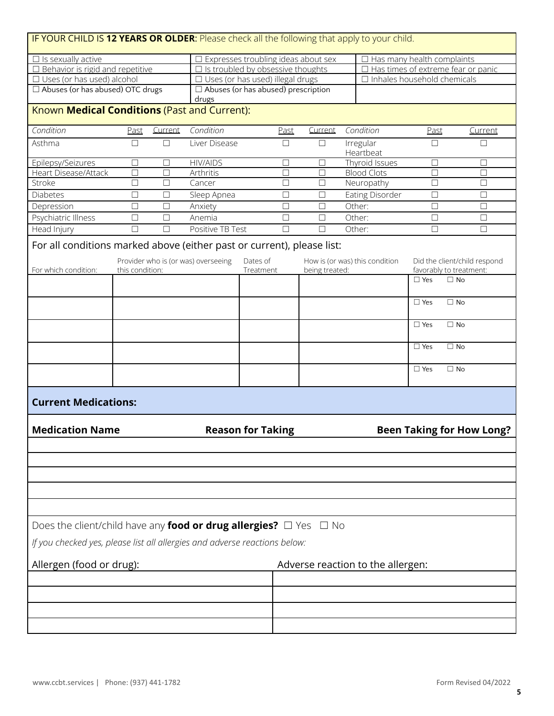| IF YOUR CHILD IS 12 YEARS OR OLDER: Please check all the following that apply to your child. |                                                                                 |         |                                     |                                                                                                                                                                 |        |                |                                   |            |                                                         |
|----------------------------------------------------------------------------------------------|---------------------------------------------------------------------------------|---------|-------------------------------------|-----------------------------------------------------------------------------------------------------------------------------------------------------------------|--------|----------------|-----------------------------------|------------|---------------------------------------------------------|
|                                                                                              | $\Box$ Expresses troubling ideas about sex<br>$\Box$ Has many health complaints |         |                                     |                                                                                                                                                                 |        |                |                                   |            |                                                         |
| $\Box$ Is sexually active                                                                    |                                                                                 |         |                                     |                                                                                                                                                                 |        |                |                                   |            |                                                         |
| $\Box$ Behavior is rigid and repetitive<br>$\Box$ Uses (or has used) alcohol                 |                                                                                 |         |                                     | $\Box$ Is troubled by obsessive thoughts<br>Has times of extreme fear or panic<br>$\Box$ Uses (or has used) illegal drugs<br>$\Box$ Inhales household chemicals |        |                |                                   |            |                                                         |
| $\Box$ Abuses (or has abused) OTC drugs                                                      |                                                                                 |         |                                     | $\Box$ Abuses (or has abused) prescription                                                                                                                      |        |                |                                   |            |                                                         |
|                                                                                              |                                                                                 |         | drugs                               |                                                                                                                                                                 |        |                |                                   |            |                                                         |
| Known Medical Conditions (Past and Current):                                                 |                                                                                 |         |                                     |                                                                                                                                                                 |        |                |                                   |            |                                                         |
| Condition                                                                                    | Past                                                                            | Current | Condition                           |                                                                                                                                                                 | Past   | Current        | Condition                         | Past       | Current                                                 |
| Asthma                                                                                       | $\Box$                                                                          | □       | Liver Disease                       |                                                                                                                                                                 | □      | □              | Irregular<br>Heartbeat            | □          | $\Box$                                                  |
| Epilepsy/Seizures                                                                            | $\Box$                                                                          | $\Box$  | <b>HIV/AIDS</b>                     |                                                                                                                                                                 | □      | $\Box$         | Thyroid Issues                    | $\Box$     | $\Box$                                                  |
| Heart Disease/Attack                                                                         | $\Box$                                                                          | $\Box$  | Arthritis                           |                                                                                                                                                                 | $\Box$ | $\Box$         | <b>Blood Clots</b>                | $\Box$     | $\Box$                                                  |
| Stroke                                                                                       | $\Box$                                                                          | $\Box$  | Cancer                              |                                                                                                                                                                 | $\Box$ | $\Box$         | Neuropathy                        | $\Box$     | $\Box$                                                  |
| <b>Diabetes</b>                                                                              | $\Box$                                                                          | $\Box$  | Sleep Apnea                         |                                                                                                                                                                 | $\Box$ | $\Box$         | Eating Disorder                   | $\Box$     | $\Box$                                                  |
| Depression                                                                                   | $\Box$                                                                          | $\Box$  | Anxiety                             |                                                                                                                                                                 | $\Box$ | $\Box$         | Other:                            | $\Box$     | $\Box$                                                  |
| Psychiatric Illness                                                                          | $\Box$                                                                          | $\Box$  | Anemia                              |                                                                                                                                                                 | $\Box$ | $\Box$         | Other:                            | $\Box$     | $\Box$                                                  |
| Head Injury                                                                                  | $\Box$                                                                          | $\Box$  | Positive TB Test                    |                                                                                                                                                                 | □      | $\Box$         | Other:                            | $\Box$     | $\Box$                                                  |
| For all conditions marked above (either past or current), please list:                       |                                                                                 |         |                                     |                                                                                                                                                                 |        |                |                                   |            |                                                         |
| For which condition:                                                                         | this condition:                                                                 |         | Provider who is (or was) overseeing | Dates of<br>Treatment                                                                                                                                           |        | being treated: | How is (or was) this condition    |            | Did the client/child respond<br>favorably to treatment: |
|                                                                                              |                                                                                 |         |                                     |                                                                                                                                                                 |        |                |                                   | $\Box$ Yes | $\Box$ No                                               |
|                                                                                              |                                                                                 |         |                                     |                                                                                                                                                                 |        |                |                                   | $\Box$ Yes | $\Box$ No                                               |
|                                                                                              |                                                                                 |         |                                     |                                                                                                                                                                 |        |                |                                   | $\Box$ Yes | $\Box$ No                                               |
|                                                                                              |                                                                                 |         |                                     |                                                                                                                                                                 |        |                |                                   | $\Box$ Yes | $\Box$ No                                               |
|                                                                                              |                                                                                 |         |                                     |                                                                                                                                                                 |        |                |                                   | $\Box$ Yes | $\Box$ No                                               |
| <b>Current Medications:</b>                                                                  |                                                                                 |         |                                     |                                                                                                                                                                 |        |                |                                   |            |                                                         |
| <b>Medication Name</b><br><b>Reason for Taking</b><br><b>Been Taking for How Long?</b>       |                                                                                 |         |                                     |                                                                                                                                                                 |        |                |                                   |            |                                                         |
|                                                                                              |                                                                                 |         |                                     |                                                                                                                                                                 |        |                |                                   |            |                                                         |
|                                                                                              |                                                                                 |         |                                     |                                                                                                                                                                 |        |                |                                   |            |                                                         |
|                                                                                              |                                                                                 |         |                                     |                                                                                                                                                                 |        |                |                                   |            |                                                         |
|                                                                                              |                                                                                 |         |                                     |                                                                                                                                                                 |        |                |                                   |            |                                                         |
| Does the client/child have any food or drug allergies? $\Box$ Yes $\Box$ No                  |                                                                                 |         |                                     |                                                                                                                                                                 |        |                |                                   |            |                                                         |
| If you checked yes, please list all allergies and adverse reactions below:                   |                                                                                 |         |                                     |                                                                                                                                                                 |        |                |                                   |            |                                                         |
| Allergen (food or drug):                                                                     |                                                                                 |         |                                     |                                                                                                                                                                 |        |                | Adverse reaction to the allergen: |            |                                                         |
|                                                                                              |                                                                                 |         |                                     |                                                                                                                                                                 |        |                |                                   |            |                                                         |
|                                                                                              |                                                                                 |         |                                     |                                                                                                                                                                 |        |                |                                   |            |                                                         |
|                                                                                              |                                                                                 |         |                                     |                                                                                                                                                                 |        |                |                                   |            |                                                         |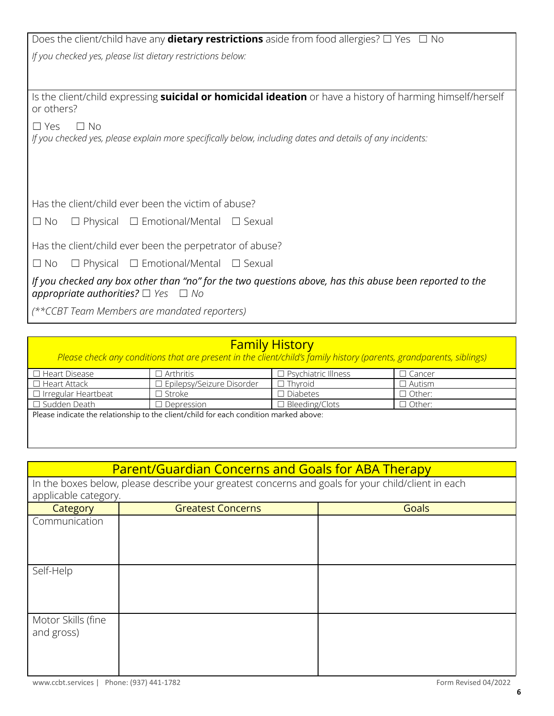| Does the client/child have any <b>dietary restrictions</b> aside from food allergies? $\Box$ Yes $\Box$ No                                               |
|----------------------------------------------------------------------------------------------------------------------------------------------------------|
| If you checked yes, please list dietary restrictions below:                                                                                              |
|                                                                                                                                                          |
|                                                                                                                                                          |
| Is the client/child expressing <b>suicidal or homicidal ideation</b> or have a history of harming himself/herself<br>or others?                          |
| $\square$ Yes<br>$\Box$ No                                                                                                                               |
| If you checked yes, please explain more specifically below, including dates and details of any incidents:                                                |
|                                                                                                                                                          |
|                                                                                                                                                          |
|                                                                                                                                                          |
| Has the client/child ever been the victim of abuse?                                                                                                      |
| $\Box$ Physical $\Box$ Emotional/Mental $\Box$ Sexual<br>$\Box$ No                                                                                       |
|                                                                                                                                                          |
| Has the client/child ever been the perpetrator of abuse?                                                                                                 |
| $\Box$ Physical $\Box$ Emotional/Mental $\Box$ Sexual<br>$\Box$ No                                                                                       |
| If you checked any box other than "no" for the two questions above, has this abuse been reported to the<br>appropriate authorities? $\Box$ Yes $\Box$ No |
| (**CCBT Team Members are mandated reporters)                                                                                                             |

## Family History

*Please check any conditions that are present in the client/child's family history (parents, grandparents, siblings)*

| $\Box$ Heart Disease                                                                   | $\Box$ Arthritis                 | $\Box$ Psychiatric Illness | $\Box$ Cancer |  |
|----------------------------------------------------------------------------------------|----------------------------------|----------------------------|---------------|--|
| $\Box$ Heart Attack                                                                    | $\Box$ Epilepsy/Seizure Disorder | ⊐ Thvroid                  | $\Box$ Autism |  |
| $\Box$ Irregular Heartbeat                                                             | ⊐ Stroke                         | $\Box$ Diabetes            | $\Box$ Other: |  |
| $\Box$ Sudden Death                                                                    | $\Box$ Depression .              | $\Box$ Bleeding/Clots      | $\Box$ Other: |  |
| Dlease indicate the relationship to the client (shild for each condition marked above: |                                  |                            |               |  |

lease indicate the relationship to the client/child for each condition marked above:

## Parent/Guardian Concerns and Goals for ABA Therapy

In the boxes below, please describe your greatest concerns and goals for your child/client in each applicable category.

| Category                         | <b>Greatest Concerns</b> | Goals |
|----------------------------------|--------------------------|-------|
| Communication                    |                          |       |
|                                  |                          |       |
|                                  |                          |       |
| Self-Help                        |                          |       |
|                                  |                          |       |
|                                  |                          |       |
| Motor Skills (fine<br>and gross) |                          |       |
|                                  |                          |       |
|                                  |                          |       |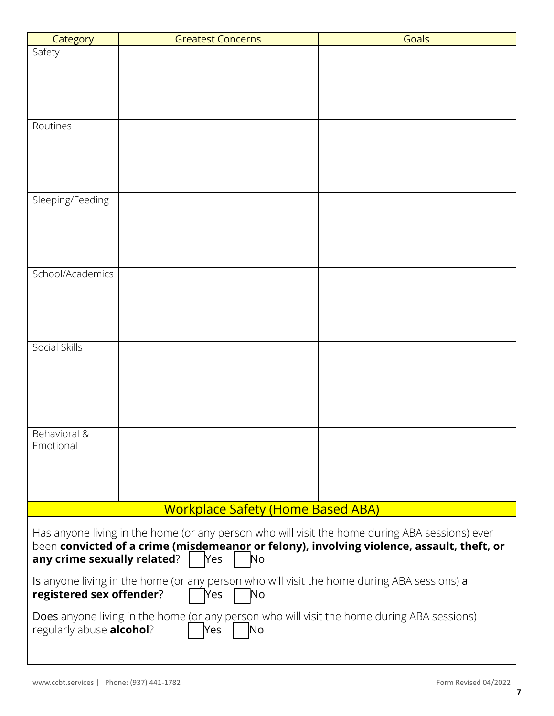| Category                                                                                       | <b>Greatest Concerns</b>                 | <b>Goals</b> |  |  |
|------------------------------------------------------------------------------------------------|------------------------------------------|--------------|--|--|
| Safety                                                                                         |                                          |              |  |  |
|                                                                                                |                                          |              |  |  |
|                                                                                                |                                          |              |  |  |
|                                                                                                |                                          |              |  |  |
|                                                                                                |                                          |              |  |  |
| Routines                                                                                       |                                          |              |  |  |
|                                                                                                |                                          |              |  |  |
|                                                                                                |                                          |              |  |  |
|                                                                                                |                                          |              |  |  |
| Sleeping/Feeding                                                                               |                                          |              |  |  |
|                                                                                                |                                          |              |  |  |
|                                                                                                |                                          |              |  |  |
|                                                                                                |                                          |              |  |  |
|                                                                                                |                                          |              |  |  |
| School/Academics                                                                               |                                          |              |  |  |
|                                                                                                |                                          |              |  |  |
|                                                                                                |                                          |              |  |  |
|                                                                                                |                                          |              |  |  |
|                                                                                                |                                          |              |  |  |
| Social Skills                                                                                  |                                          |              |  |  |
|                                                                                                |                                          |              |  |  |
|                                                                                                |                                          |              |  |  |
|                                                                                                |                                          |              |  |  |
|                                                                                                |                                          |              |  |  |
| Behavioral &                                                                                   |                                          |              |  |  |
| Emotional                                                                                      |                                          |              |  |  |
|                                                                                                |                                          |              |  |  |
|                                                                                                |                                          |              |  |  |
|                                                                                                |                                          |              |  |  |
|                                                                                                | <b>Workplace Safety (Home Based ABA)</b> |              |  |  |
| Has anyone living in the home (or any person who will visit the home during ABA sessions) ever |                                          |              |  |  |
| been convicted of a crime (misdemeanor or felony), involving violence, assault, theft, or      |                                          |              |  |  |
| any crime sexually related?<br><b>Yes</b><br>No                                                |                                          |              |  |  |
| Is anyone living in the home (or any person who will visit the home during ABA sessions) a     |                                          |              |  |  |
| registered sex offender?<br> Yes<br><b>No</b>                                                  |                                          |              |  |  |
| Does anyone living in the home (or any person who will visit the home during ABA sessions)     |                                          |              |  |  |
| regularly abuse alcohol?<br>Yes<br>$\overline{\text{No}}$                                      |                                          |              |  |  |
|                                                                                                |                                          |              |  |  |